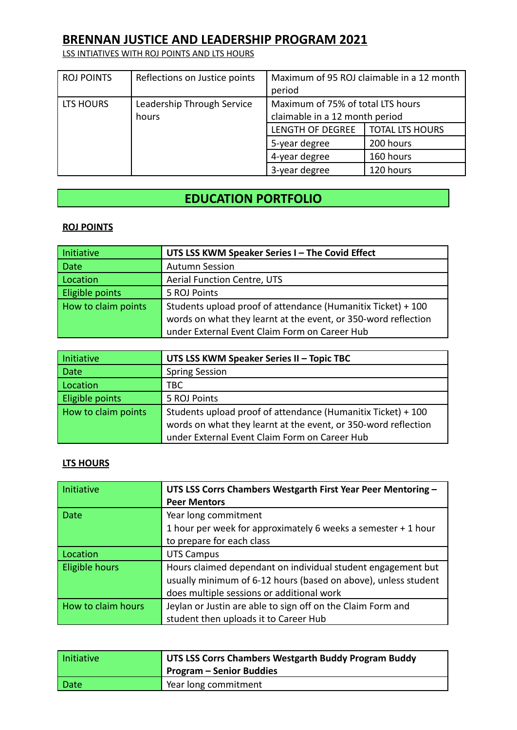LSS INTIATIVES WITH ROJ POINTS AND LTS HOURS

| <b>ROJ POINTS</b> | Reflections on Justice points       | period                                                              | Maximum of 95 ROJ claimable in a 12 month |
|-------------------|-------------------------------------|---------------------------------------------------------------------|-------------------------------------------|
| LTS HOURS         | Leadership Through Service<br>hours | Maximum of 75% of total LTS hours<br>claimable in a 12 month period |                                           |
|                   |                                     | LENGTH OF DEGREE                                                    | <b>TOTAL LTS HOURS</b>                    |
|                   |                                     | 5-year degree                                                       | 200 hours                                 |
|                   |                                     | 4-year degree                                                       | 160 hours                                 |
|                   |                                     | 3-year degree                                                       | 120 hours                                 |

## **EDUCATION PORTFOLIO**

#### **ROJ POINTS**

| <b>Initiative</b>   | UTS LSS KWM Speaker Series I - The Covid Effect                |
|---------------------|----------------------------------------------------------------|
| Date                | <b>Autumn Session</b>                                          |
| Location            | Aerial Function Centre, UTS                                    |
| Eligible points     | 5 ROJ Points                                                   |
| How to claim points | Students upload proof of attendance (Humanitix Ticket) + 100   |
|                     | words on what they learnt at the event, or 350-word reflection |
|                     | under External Event Claim Form on Career Hub                  |

| Initiative          | UTS LSS KWM Speaker Series II - Topic TBC                      |
|---------------------|----------------------------------------------------------------|
| Date                | <b>Spring Session</b>                                          |
| Location            | твс                                                            |
| Eligible points     | 5 ROJ Points                                                   |
| How to claim points | Students upload proof of attendance (Humanitix Ticket) + 100   |
|                     | words on what they learnt at the event, or 350-word reflection |
|                     | under External Event Claim Form on Career Hub                  |

#### **LTS HOURS**

| Initiative         | UTS LSS Corrs Chambers Westgarth First Year Peer Mentoring -<br><b>Peer Mentors</b> |
|--------------------|-------------------------------------------------------------------------------------|
| <b>Date</b>        | Year long commitment                                                                |
|                    | 1 hour per week for approximately 6 weeks a semester + 1 hour                       |
|                    | to prepare for each class                                                           |
| Location           | <b>UTS Campus</b>                                                                   |
| Eligible hours     | Hours claimed dependant on individual student engagement but                        |
|                    | usually minimum of 6-12 hours (based on above), unless student                      |
|                    | does multiple sessions or additional work                                           |
| How to claim hours | Jeylan or Justin are able to sign off on the Claim Form and                         |
|                    | student then uploads it to Career Hub                                               |

| Initiative | UTS LSS Corrs Chambers Westgarth Buddy Program Buddy<br><b>Program – Senior Buddies</b> |
|------------|-----------------------------------------------------------------------------------------|
| Date       | Year long commitment                                                                    |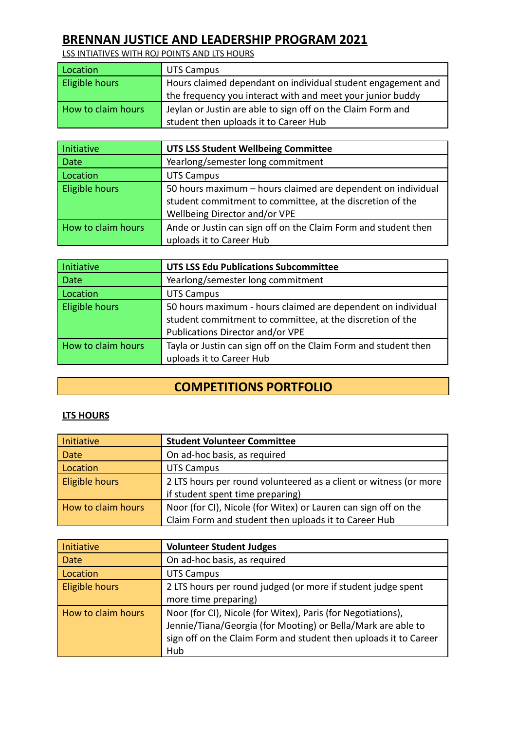LSS INTIATIVES WITH ROJ POINTS AND LTS HOURS

| Location           | UTS Campus                                                   |
|--------------------|--------------------------------------------------------------|
| Eligible hours     | Hours claimed dependant on individual student engagement and |
|                    | the frequency you interact with and meet your junior buddy   |
| How to claim hours | Jeylan or Justin are able to sign off on the Claim Form and  |
|                    | student then uploads it to Career Hub                        |

| Initiative         | <b>UTS LSS Student Wellbeing Committee</b>                     |
|--------------------|----------------------------------------------------------------|
| <b>Date</b>        | Yearlong/semester long commitment                              |
| Location           | <b>UTS Campus</b>                                              |
| Eligible hours     | 50 hours maximum – hours claimed are dependent on individual   |
|                    | student commitment to committee, at the discretion of the      |
|                    | Wellbeing Director and/or VPE                                  |
| How to claim hours | Ande or Justin can sign off on the Claim Form and student then |
|                    | uploads it to Career Hub                                       |

| Initiative         | <b>UTS LSS Edu Publications Subcommittee</b>                    |
|--------------------|-----------------------------------------------------------------|
| Date               | Yearlong/semester long commitment                               |
| Location           | <b>UTS Campus</b>                                               |
| Eligible hours     | 50 hours maximum - hours claimed are dependent on individual    |
|                    | student commitment to committee, at the discretion of the       |
|                    | Publications Director and/or VPE                                |
| How to claim hours | Tayla or Justin can sign off on the Claim Form and student then |
|                    | uploads it to Career Hub                                        |

# **COMPETITIONS PORTFOLIO**

#### **LTS HOURS**

| Initiative         | <b>Student Volunteer Committee</b>                                |
|--------------------|-------------------------------------------------------------------|
| Date               | On ad-hoc basis, as required                                      |
| Location           | <b>UTS Campus</b>                                                 |
| Eligible hours     | 2 LTS hours per round volunteered as a client or witness (or more |
|                    | if student spent time preparing)                                  |
| How to claim hours | Noor (for CI), Nicole (for Witex) or Lauren can sign off on the   |
|                    | Claim Form and student then uploads it to Career Hub              |

| Initiative            | <b>Volunteer Student Judges</b>                                  |
|-----------------------|------------------------------------------------------------------|
| Date                  | On ad-hoc basis, as required                                     |
| Location              | <b>UTS Campus</b>                                                |
| <b>Eligible hours</b> | 2 LTS hours per round judged (or more if student judge spent     |
|                       | more time preparing)                                             |
| How to claim hours    | Noor (for CI), Nicole (for Witex), Paris (for Negotiations),     |
|                       | Jennie/Tiana/Georgia (for Mooting) or Bella/Mark are able to     |
|                       | sign off on the Claim Form and student then uploads it to Career |
|                       | Hub                                                              |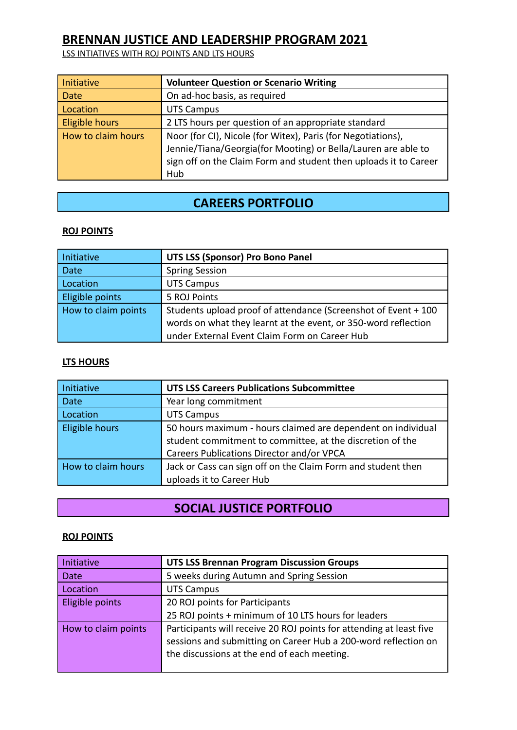LSS INTIATIVES WITH ROJ POINTS AND LTS HOURS

| Initiative         | <b>Volunteer Question or Scenario Writing</b>                    |
|--------------------|------------------------------------------------------------------|
| Date               | On ad-hoc basis, as required                                     |
| Location           | <b>UTS Campus</b>                                                |
| Eligible hours     | 2 LTS hours per question of an appropriate standard              |
| How to claim hours | Noor (for CI), Nicole (for Witex), Paris (for Negotiations),     |
|                    | Jennie/Tiana/Georgia(for Mooting) or Bella/Lauren are able to    |
|                    | sign off on the Claim Form and student then uploads it to Career |
|                    | Hub                                                              |

## **CAREERS PORTFOLIO**

#### **ROJ POINTS**

| Initiative          | <b>UTS LSS (Sponsor) Pro Bono Panel</b>                        |
|---------------------|----------------------------------------------------------------|
| Date                | <b>Spring Session</b>                                          |
| Location            | <b>UTS Campus</b>                                              |
| Eligible points     | 5 ROJ Points                                                   |
| How to claim points | Students upload proof of attendance (Screenshot of Event + 100 |
|                     | words on what they learnt at the event, or 350-word reflection |
|                     | under External Event Claim Form on Career Hub                  |

#### **LTS HOURS**

| Initiative         | <b>UTS LSS Careers Publications Subcommittee</b>             |
|--------------------|--------------------------------------------------------------|
| <b>Date</b>        | Year long commitment                                         |
| Location           | <b>UTS Campus</b>                                            |
| Eligible hours     | 50 hours maximum - hours claimed are dependent on individual |
|                    | student commitment to committee, at the discretion of the    |
|                    | Careers Publications Director and/or VPCA                    |
| How to claim hours | Jack or Cass can sign off on the Claim Form and student then |
|                    | uploads it to Career Hub                                     |

### **SOCIAL JUSTICE PORTFOLIO**

#### **ROJ POINTS**

| <b>UTS LSS Brennan Program Discussion Groups</b>                                                                                                                                     |
|--------------------------------------------------------------------------------------------------------------------------------------------------------------------------------------|
| 5 weeks during Autumn and Spring Session                                                                                                                                             |
| <b>UTS Campus</b>                                                                                                                                                                    |
| 20 ROJ points for Participants                                                                                                                                                       |
| 25 ROJ points + minimum of 10 LTS hours for leaders                                                                                                                                  |
| Participants will receive 20 ROJ points for attending at least five<br>sessions and submitting on Career Hub a 200-word reflection on<br>the discussions at the end of each meeting. |
|                                                                                                                                                                                      |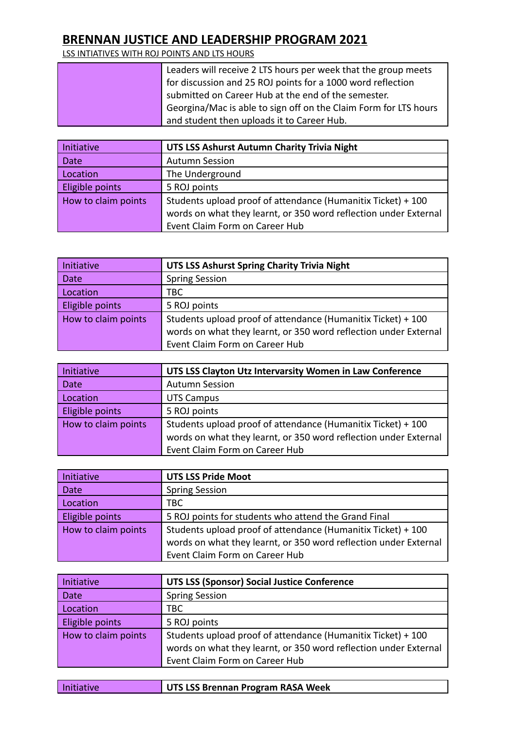LSS INTIATIVES WITH ROJ POINTS AND LTS HOURS

| Leaders will receive 2 LTS hours per week that the group meets   |
|------------------------------------------------------------------|
| for discussion and 25 ROJ points for a 1000 word reflection      |
| submitted on Career Hub at the end of the semester.              |
| Georgina/Mac is able to sign off on the Claim Form for LTS hours |
| and student then uploads it to Career Hub.                       |

| Initiative          | UTS LSS Ashurst Autumn Charity Trivia Night                      |
|---------------------|------------------------------------------------------------------|
| Date                | <b>Autumn Session</b>                                            |
| Location            | The Underground                                                  |
| Eligible points     | 5 ROJ points                                                     |
| How to claim points | Students upload proof of attendance (Humanitix Ticket) + 100     |
|                     | words on what they learnt, or 350 word reflection under External |
|                     | Event Claim Form on Career Hub                                   |

| Initiative          | UTS LSS Ashurst Spring Charity Trivia Night                      |
|---------------------|------------------------------------------------------------------|
| Date                | <b>Spring Session</b>                                            |
| Location            | TBC                                                              |
| Eligible points     | 5 ROJ points                                                     |
| How to claim points | Students upload proof of attendance (Humanitix Ticket) + 100     |
|                     | words on what they learnt, or 350 word reflection under External |
|                     | Event Claim Form on Career Hub                                   |

| Initiative          | UTS LSS Clayton Utz Intervarsity Women in Law Conference         |
|---------------------|------------------------------------------------------------------|
| Date                | <b>Autumn Session</b>                                            |
| Location            | <b>UTS Campus</b>                                                |
| Eligible points     | 5 ROJ points                                                     |
| How to claim points | Students upload proof of attendance (Humanitix Ticket) + 100     |
|                     | words on what they learnt, or 350 word reflection under External |
|                     | Event Claim Form on Career Hub                                   |

| Initiative          | <b>UTS LSS Pride Moot</b>                                        |
|---------------------|------------------------------------------------------------------|
| Date                | <b>Spring Session</b>                                            |
| Location            | TBC.                                                             |
| Eligible points     | 5 ROJ points for students who attend the Grand Final             |
| How to claim points | Students upload proof of attendance (Humanitix Ticket) + 100     |
|                     | words on what they learnt, or 350 word reflection under External |
|                     | Event Claim Form on Career Hub                                   |

| Initiative          | <b>UTS LSS (Sponsor) Social Justice Conference</b>               |
|---------------------|------------------------------------------------------------------|
| Date                | <b>Spring Session</b>                                            |
| Location            | TBC                                                              |
| Eligible points     | 5 ROJ points                                                     |
| How to claim points | Students upload proof of attendance (Humanitix Ticket) + 100     |
|                     | words on what they learnt, or 350 word reflection under External |
|                     | Event Claim Form on Career Hub                                   |

|  | Initiative |
|--|------------|
|  |            |